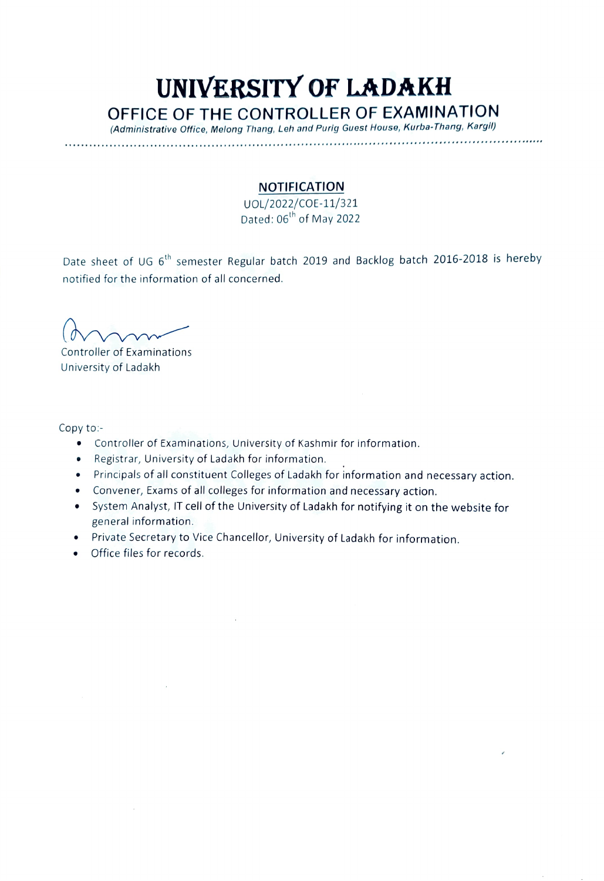## UNIVERSITY OF LADAKH OFFICE OF THE CONTROLLER OF EXAMINATION (Administrative Office, Melong Thang, Leh and Purig Guest House, Kurba-Thang, Kargil)

.. ''\*\*'\*\*\*\*''\*\*''\*\*\*\*\*\*\*\*\*\*\*\*\*'\*\*\*\* \*\*\* \*\*.

## NOTIFICATION

UOL/2022/COE-11/321 Dated: 06<sup>th</sup> of May 2022

Date sheet of UG 6<sup>th</sup> semester Regular batch 2019 and Backlog batch 2016-2018 is hereby notified for the information of all concerned.

 $(m)$ 

Controller of Examinations University of Ladakh

Copy to:

- Controller of Examinations, University of Kashmir for information.
- Registrar, University of Ladakh for information.
- Principals of all constituent Colleges of Ladakh for information and necessary action.
- Convener, Exams of all colleges for information and necessary action.
- System Analyst, IT cell of the University of Ladakh for notifying it on the website for general information.
- Private Secretary to Vice Chancellor, University of Ladakh for information.
- Office files for records.